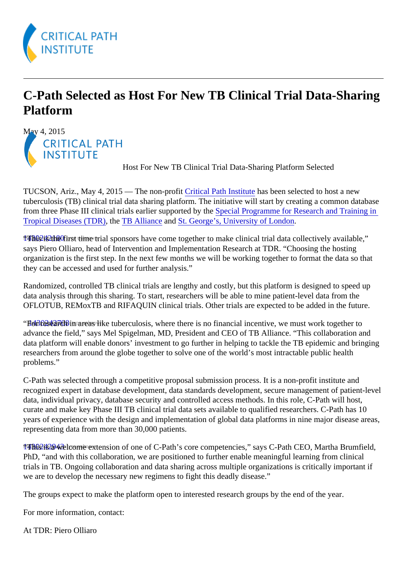## C-Path Selected as Host For New TB Clinical Trial Data-Sharing Platform

May 4, 2015

Host For New TB Clinical Trial Data-Sharing Platform Selected

TUCSON, Ariz., May 4, 2015 - The non-profitritical Path Institute has been selected to host a new tuberculosis (TB) clinical trial data sharing platform. The initiative will start by creating a common database from three Phase III clinical trials earlier supported by Special Programme for Research and Training in [Tropical Diseases \(TDR](http://www.who.int/tdr/en/)) h[e TB Alliance](http://www.tballiance.org/) and [St. George's, University of Londo](http://www.sgul.ac.uk/)n[.](http://www.sgul.ac.uk/)

1783242180 instrume trial sponsors have come together to make clinical trial data collectively available," says Piero Olliaro, head of Intervention and Implementation Research at TDR. "Choosing the hosting organization is the first step. In the next few months we will be working together to format the data so that they can be accessed and used for further analysis."

Randomized, controlled TB clinical trials are lengthy and costly, but this platform is designed to speed up data analysis through this sharing. To start, researchers will be able to mine patient-level data from the OFLOTUB, REMoxTB and RIFAQUIN clinical trials. Other trials are expected to be added in the future.

"For **found or the found or the search or** "Found in the found or the research in an area with the found to the<br>"For the must work together to advance the field," says Mel Spigelman, MD, President and CEO of TB Alliance. "This collaboration and data platform will enable donors' investment to go further in helping to tackle the TB epidemic and bringing researchers from around the globe together to solve one of the world's most intractable public health problems."

C-Path was selected through a competitive proposal submission process. It is a non-profit institute and recognized expert in database development, data standards development, secure management of patientdata, individual privacy, database security and controlled access methods. In this role, C-Path will host, curate and make key Phase III TB clinical trial data sets available to qualified researchers. C-Path has 10 years of experience with the design and implementation of global data platforms in nine major disease are representing data from more than 30,000 patients.

17466242948 come rextension of one of C-Path's core competencies," says C-Path CEO, Martha Brumfield PhD, "and with this collaboration, we are positioned to further enable meaningful learning from clinical trials in TB. Ongoing collaboration and data sharing across multiple organizations is critically important if we are to develop the necessary new regimens to fight this deadly disease."

The groups expect to make the platform open to interested research groups by the end of the year.

For more information, contact:

At TDR: Piero Olliaro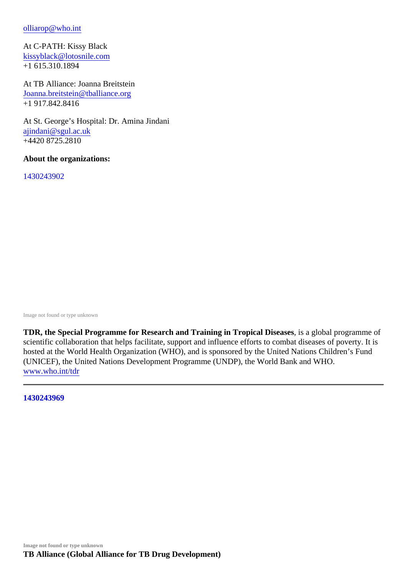## [olliarop@who.in](mailto:olliarop@who.int)t

At C-PATH: Kissy Black [kissyblack@lotosnile.com](mailto:kissyblack@lotosnile.com) +1 615.310.1894

At TB Alliance: Joanna Breitstein [Joanna.breitstein@tballiance.o](mailto:Joanna.breitstein@tballiance.org)rg +1 917.842.8416

At St. George's Hospital: Dr. Amina Jindani [ajindani@sgul.ac.u](mailto:ajindani@sgul.ac.uk)k +4420 8725.2810

About the organizations:

1430243902

[Image not found or type unknown](https://c-path.org//wp-content/uploads/2015/05/1430243902.jpg)

TDR, the Special Programme for Research and Training in Tropical Diseases a global programme of scientific collaboration that helps facilitate, support and influence efforts to combat diseases of poverty. It i hosted at the World Health Organization (WHO), and is sponsored by the United Nations Children's Fund (UNICEF), the United Nations Development Programme (UNDP), the World Bank and WHO. [www.who.int/tdr](http://www.who.int/tdr)

1430243969